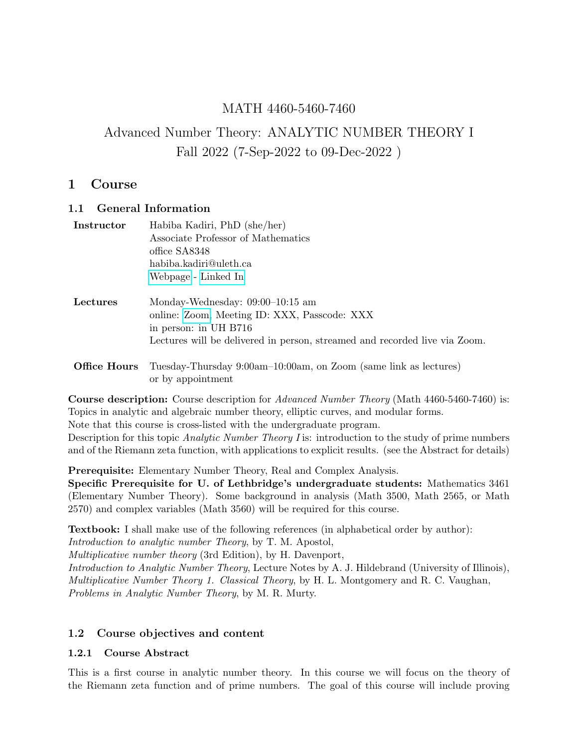## MATH 4460-5460-7460

# Advanced Number Theory: ANALYTIC NUMBER THEORY I Fall 2022 (7-Sep-2022 to 09-Dec-2022 )

### 1 Course

### 1.1 General Information

| Instructor | Habiba Kadiri, PhD (she/her)<br>Associate Professor of Mathematics<br>office SA8348<br>habiba.kadiri@uleth.ca<br>Webpage - Linked In                                                      |
|------------|-------------------------------------------------------------------------------------------------------------------------------------------------------------------------------------------|
| Lectures   | Monday-Wednesday: $09:00-10:15$ am<br>online: Zoom, Meeting ID: XXX, Passcode: XXX<br>in person: in UH B716<br>Lectures will be delivered in person, streamed and recorded live via Zoom. |
|            | <b>Office Hours</b> Tuesday-Thursday $9:00$ am-10:00am, on Zoom (same link as lectures)                                                                                                   |

(same link as lectu or by appointment

Course description: Course description for Advanced Number Theory (Math 4460-5460-7460) is: Topics in analytic and algebraic number theory, elliptic curves, and modular forms.

Note that this course is cross-listed with the undergraduate program.

Description for this topic *Analytic Number Theory I* is: introduction to the study of prime numbers and of the Riemann zeta function, with applications to explicit results. (see the Abstract for details)

Prerequisite: Elementary Number Theory, Real and Complex Analysis.

Specific Prerequisite for U. of Lethbridge's undergraduate students: Mathematics 3461 (Elementary Number Theory). Some background in analysis (Math 3500, Math 2565, or Math 2570) and complex variables (Math 3560) will be required for this course.

Textbook: I shall make use of the following references (in alphabetical order by author):

Introduction to analytic number Theory, by T. M. Apostol,

Multiplicative number theory (3rd Edition), by H. Davenport,

Introduction to Analytic Number Theory, Lecture Notes by A. J. Hildebrand (University of Illinois), Multiplicative Number Theory 1. Classical Theory, by H. L. Montgomery and R. C. Vaughan, Problems in Analytic Number Theory, by M. R. Murty.

### 1.2 Course objectives and content

### 1.2.1 Course Abstract

This is a first course in analytic number theory. In this course we will focus on the theory of the Riemann zeta function and of prime numbers. The goal of this course will include proving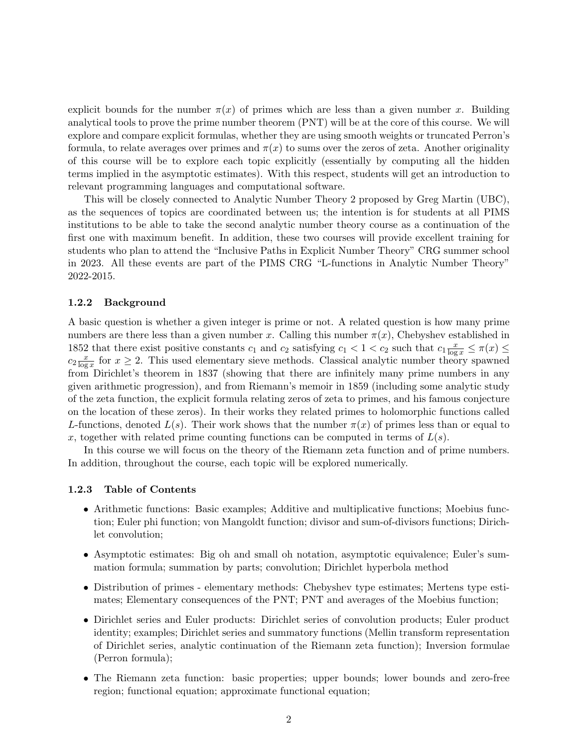explicit bounds for the number  $\pi(x)$  of primes which are less than a given number x. Building analytical tools to prove the prime number theorem (PNT) will be at the core of this course. We will explore and compare explicit formulas, whether they are using smooth weights or truncated Perron's formula, to relate averages over primes and  $\pi(x)$  to sums over the zeros of zeta. Another originality of this course will be to explore each topic explicitly (essentially by computing all the hidden terms implied in the asymptotic estimates). With this respect, students will get an introduction to relevant programming languages and computational software.

This will be closely connected to Analytic Number Theory 2 proposed by Greg Martin (UBC), as the sequences of topics are coordinated between us; the intention is for students at all PIMS institutions to be able to take the second analytic number theory course as a continuation of the first one with maximum benefit. In addition, these two courses will provide excellent training for students who plan to attend the "Inclusive Paths in Explicit Number Theory" CRG summer school in 2023. All these events are part of the PIMS CRG "L-functions in Analytic Number Theory" 2022-2015.

#### 1.2.2 Background

A basic question is whether a given integer is prime or not. A related question is how many prime numbers are there less than a given number x. Calling this number  $\pi(x)$ , Chebyshev established in 1852 that there exist positive constants  $c_1$  and  $c_2$  satisfying  $c_1 < 1 < c_2$  such that  $c_1 \frac{x}{\log x} \leq \pi(x) \leq$  $c_2 \frac{x}{\log x}$  $\frac{x}{\log x}$  for  $x \geq 2$ . This used elementary sieve methods. Classical analytic number theory spawned from Dirichlet's theorem in 1837 (showing that there are infinitely many prime numbers in any given arithmetic progression), and from Riemann's memoir in 1859 (including some analytic study of the zeta function, the explicit formula relating zeros of zeta to primes, and his famous conjecture on the location of these zeros). In their works they related primes to holomorphic functions called L-functions, denoted  $L(s)$ . Their work shows that the number  $\pi(x)$  of primes less than or equal to x, together with related prime counting functions can be computed in terms of  $L(s)$ .

In this course we will focus on the theory of the Riemann zeta function and of prime numbers. In addition, throughout the course, each topic will be explored numerically.

#### 1.2.3 Table of Contents

- Arithmetic functions: Basic examples; Additive and multiplicative functions; Moebius function; Euler phi function; von Mangoldt function; divisor and sum-of-divisors functions; Dirichlet convolution;
- Asymptotic estimates: Big oh and small oh notation, asymptotic equivalence; Euler's summation formula; summation by parts; convolution; Dirichlet hyperbola method
- Distribution of primes elementary methods: Chebyshev type estimates; Mertens type estimates; Elementary consequences of the PNT; PNT and averages of the Moebius function;
- Dirichlet series and Euler products: Dirichlet series of convolution products; Euler product identity; examples; Dirichlet series and summatory functions (Mellin transform representation of Dirichlet series, analytic continuation of the Riemann zeta function); Inversion formulae (Perron formula);
- The Riemann zeta function: basic properties; upper bounds; lower bounds and zero-free region; functional equation; approximate functional equation;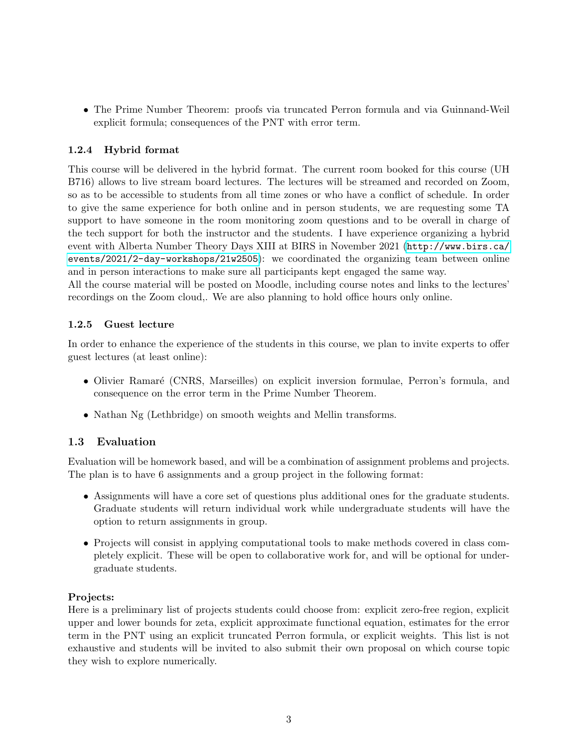• The Prime Number Theorem: proofs via truncated Perron formula and via Guinnand-Weil explicit formula; consequences of the PNT with error term.

### 1.2.4 Hybrid format

This course will be delivered in the hybrid format. The current room booked for this course (UH B716) allows to live stream board lectures. The lectures will be streamed and recorded on Zoom, so as to be accessible to students from all time zones or who have a conflict of schedule. In order to give the same experience for both online and in person students, we are requesting some TA support to have someone in the room monitoring zoom questions and to be overall in charge of the tech support for both the instructor and the students. I have experience organizing a hybrid event with Alberta Number Theory Days XIII at BIRS in November 2021 ([http://www.birs.ca/](http://www.birs.ca/events/2021/2-day-workshops/21w2505) [events/2021/2-day-workshops/21w2505](http://www.birs.ca/events/2021/2-day-workshops/21w2505)): we coordinated the organizing team between online and in person interactions to make sure all participants kept engaged the same way.

All the course material will be posted on Moodle, including course notes and links to the lectures' recordings on the Zoom cloud,. We are also planning to hold office hours only online.

### 1.2.5 Guest lecture

In order to enhance the experience of the students in this course, we plan to invite experts to offer guest lectures (at least online):

- Olivier Ramaré (CNRS, Marseilles) on explicit inversion formulae, Perron's formula, and consequence on the error term in the Prime Number Theorem.
- Nathan Ng (Lethbridge) on smooth weights and Mellin transforms.

### 1.3 Evaluation

Evaluation will be homework based, and will be a combination of assignment problems and projects. The plan is to have 6 assignments and a group project in the following format:

- Assignments will have a core set of questions plus additional ones for the graduate students. Graduate students will return individual work while undergraduate students will have the option to return assignments in group.
- Projects will consist in applying computational tools to make methods covered in class completely explicit. These will be open to collaborative work for, and will be optional for undergraduate students.

### Projects:

Here is a preliminary list of projects students could choose from: explicit zero-free region, explicit upper and lower bounds for zeta, explicit approximate functional equation, estimates for the error term in the PNT using an explicit truncated Perron formula, or explicit weights. This list is not exhaustive and students will be invited to also submit their own proposal on which course topic they wish to explore numerically.